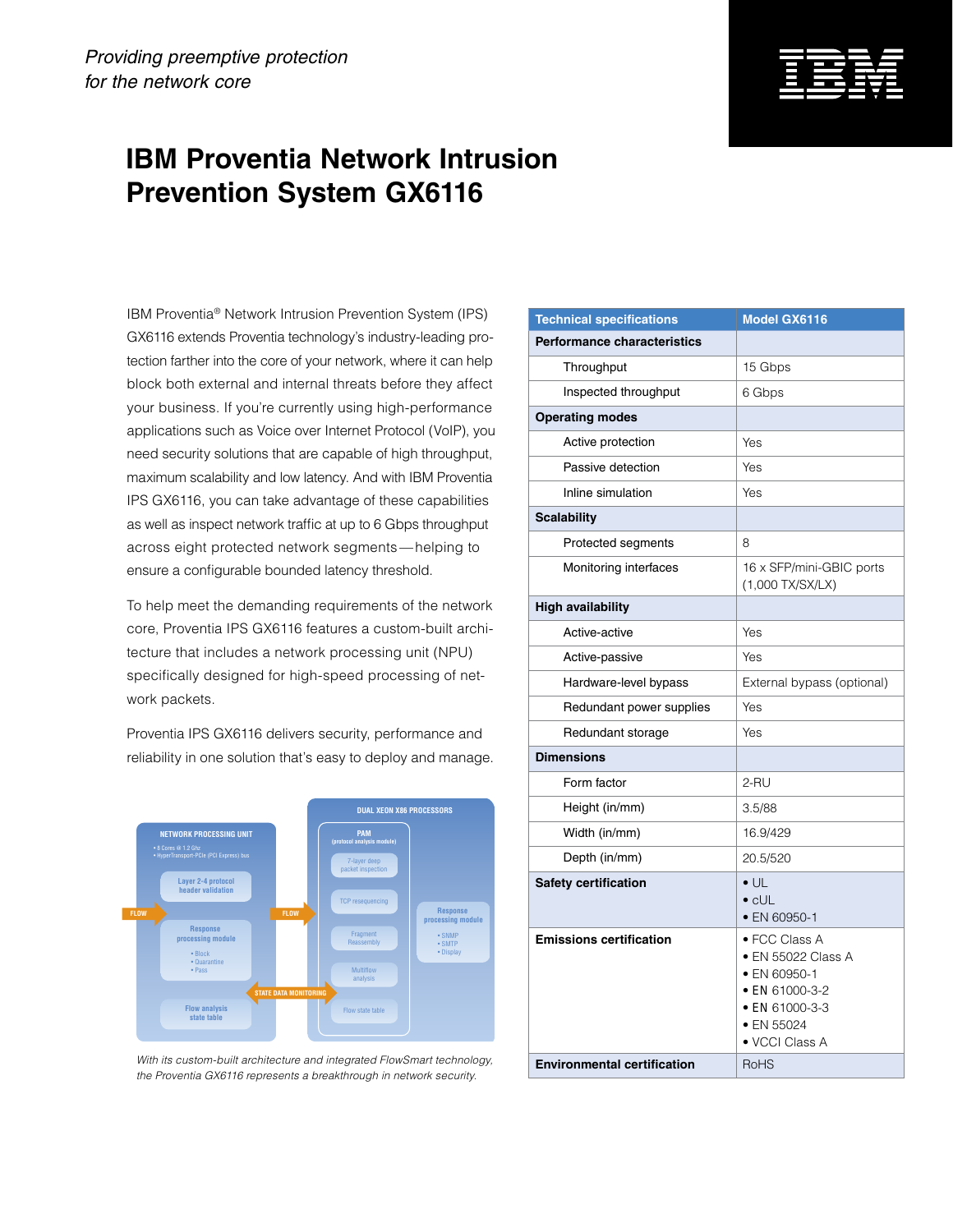## **IBM Proventia Network Intrusion Prevention System GX6116**

IBM Proventia® Network Intrusion Prevention System (IPS) GX6116 extends Proventia technology's industry-leading protection farther into the core of your network, where it can help block both external and internal threats before they affect your business. If you're currently using high-performance applications such as Voice over Internet Protocol (VoIP), you need security solutions that are capable of high throughput, maximum scalability and low latency. And with IBM Proventia IPS GX6116, you can take advantage of these capabilities as well as inspect network traffic at up to 6 Gbps throughput across eight protected network segments — helping to ensure a configurable bounded latency threshold.

To help meet the demanding requirements of the network core, Proventia IPS GX6116 features a custom-built architecture that includes a network processing unit (NPU) specifically designed for high-speed processing of network packets.

Proventia IPS GX6116 delivers security, performance and reliability in one solution that's easy to deploy and manage.



With its custom-built architecture and integrated FlowSmart technology, *the Proventia GX6116 represents a breakthrough in network security.*

| <b>Technical specifications</b>                                      | <b>Model GX6116</b>                                                                                                             |
|----------------------------------------------------------------------|---------------------------------------------------------------------------------------------------------------------------------|
| <b>Performance characteristics</b>                                   |                                                                                                                                 |
| Throughput                                                           | 15 Gbps                                                                                                                         |
| Inspected throughput                                                 | 6 Gbps                                                                                                                          |
| <b>Operating modes</b>                                               |                                                                                                                                 |
| Active protection                                                    | Yes                                                                                                                             |
| Passive detection                                                    | Yes                                                                                                                             |
| Inline simulation                                                    | Yes                                                                                                                             |
| <b>Scalability</b>                                                   |                                                                                                                                 |
| Protected segments                                                   | 8                                                                                                                               |
| Monitoring interfaces                                                | 16 x SFP/mini-GBIC ports<br>(1,000 TX/SX/LX)                                                                                    |
| <b>High availability</b>                                             |                                                                                                                                 |
| Active-active                                                        | Yes                                                                                                                             |
| Active-passive                                                       | Yes                                                                                                                             |
| Hardware-level bypass                                                | External bypass (optional)                                                                                                      |
| Redundant power supplies                                             | Yes                                                                                                                             |
| Redundant storage                                                    | Yes                                                                                                                             |
| <b>Dimensions</b>                                                    |                                                                                                                                 |
| Form factor                                                          | 2-RU                                                                                                                            |
| Height (in/mm)                                                       | 3.5/88                                                                                                                          |
| Width (in/mm)                                                        | 16.9/429                                                                                                                        |
| Depth (in/mm)                                                        | 20.5/520                                                                                                                        |
| Safety certification                                                 | $\bullet$ UL<br>$\bullet$ cl JL<br>• EN 60950-1                                                                                 |
| <b>Emissions certification</b><br><b>Environmental certification</b> | · FCC Class A<br>• EN 55022 Class A<br>• EN 60950-1<br>• EN 61000-3-2<br>$\bullet$ FN 61000-3-3<br>• EN 55024<br>• VCCI Class A |
|                                                                      | <b>RoHS</b>                                                                                                                     |